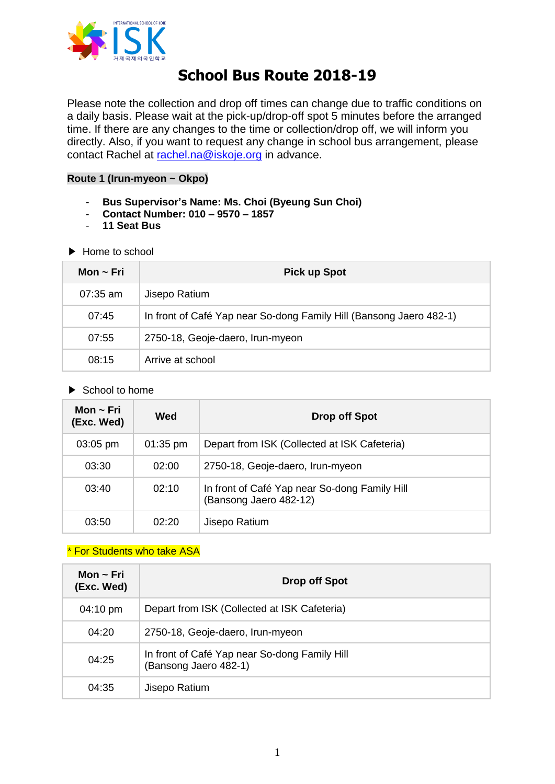

# **School Bus Route 2018-19**

Please note the collection and drop off times can change due to traffic conditions on a daily basis. Please wait at the pick-up/drop-off spot 5 minutes before the arranged time. If there are any changes to the time or collection/drop off, we will inform you directly. Also, if you want to request any change in school bus arrangement, please contact Rachel at [rachel.na@iskoje.org](mailto:rachel.na@iskoje.org) in advance.

#### **Route 1 (Irun-myeon ~ Okpo)**

- **Bus Supervisor's Name: Ms. Choi (Byeung Sun Choi)**
- **Contact Number: 010 – 9570 – 1857**
- **11 Seat Bus**
- ▶ Home to school

| Mon ~ Fri  | <b>Pick up Spot</b>                                                 |
|------------|---------------------------------------------------------------------|
| $07:35$ am | Jisepo Ratium                                                       |
| 07:45      | In front of Café Yap near So-dong Family Hill (Bansong Jaero 482-1) |
| 07:55      | 2750-18, Geoje-daero, Irun-myeon                                    |
| 08:15      | Arrive at school                                                    |

▶ School to home

| Mon $\sim$ Fri<br>(Exc. Wed) | Wed        | Drop off Spot                                                           |
|------------------------------|------------|-------------------------------------------------------------------------|
| $03:05$ pm                   | $01:35$ pm | Depart from ISK (Collected at ISK Cafeteria)                            |
| 03:30                        | 02:00      | 2750-18, Geoje-daero, Irun-myeon                                        |
| 03:40                        | 02:10      | In front of Café Yap near So-dong Family Hill<br>(Bansong Jaero 482-12) |
| 03:50                        | 02.20      | Jisepo Ratium                                                           |

### *\** For Students who take ASA

| Mon $\sim$ Fri<br>(Exc. Wed) | Drop off Spot                                                          |
|------------------------------|------------------------------------------------------------------------|
| 04:10 pm                     | Depart from ISK (Collected at ISK Cafeteria)                           |
| 04:20                        | 2750-18, Geoje-daero, Irun-myeon                                       |
| 04:25                        | In front of Café Yap near So-dong Family Hill<br>(Bansong Jaero 482-1) |
| 04:35                        | Jisepo Ratium                                                          |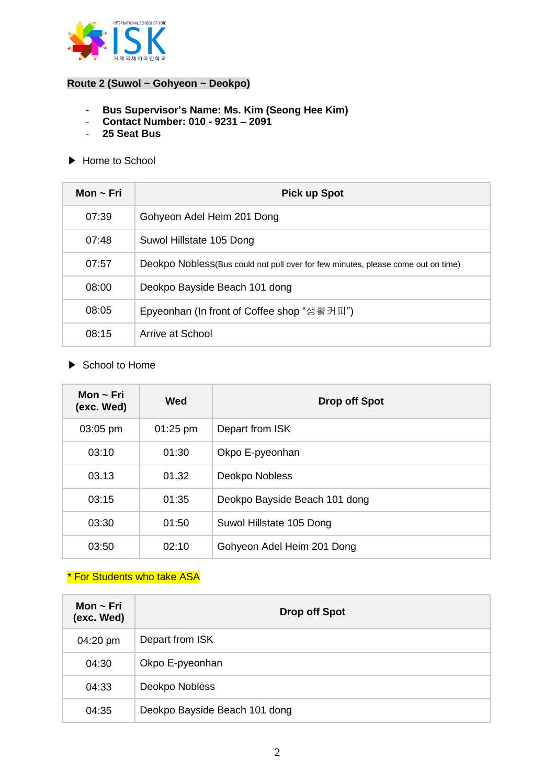

## **Route 2 (Suwol ~ Gohyeon ~ Deokpo)**

- **Bus Supervisor's Name: Ms. Kim (Seong Hee Kim)**
- **Contact Number: 010 - 9231 – 2091**
- **25 Seat Bus**
- ▶ Home to School

| Mon $\sim$ Fri | <b>Pick up Spot</b>                                                               |
|----------------|-----------------------------------------------------------------------------------|
| 07:39          | Gohyeon Adel Heim 201 Dong                                                        |
| 07:48          | Suwol Hillstate 105 Dong                                                          |
| 07:57          | Deokpo Nobless (Bus could not pull over for few minutes, please come out on time) |
| 08:00          | Deokpo Bayside Beach 101 dong                                                     |
| 08:05          | Epyeonhan (In front of Coffee shop "생활커피")                                        |
| 08:15          | Arrive at School                                                                  |

▶ School to Home

| Mon $\sim$ Fri<br>(exc. Wed) | Wed        | <b>Drop off Spot</b>          |
|------------------------------|------------|-------------------------------|
| 03:05 pm                     | $01:25$ pm | Depart from ISK               |
| 03:10                        | 01:30      | Okpo E-pyeonhan               |
| 03.13                        | 01.32      | Deokpo Nobless                |
| 03:15                        | 01:35      | Deokpo Bayside Beach 101 dong |
| 03:30                        | 01:50      | Suwol Hillstate 105 Dong      |
| 03:50                        | 02:10      | Gohyeon Adel Heim 201 Dong    |

## *\** For Students who take ASA

| Mon $\sim$ Fri<br>(exc. Wed) | <b>Drop off Spot</b>          |
|------------------------------|-------------------------------|
| 04:20 pm                     | Depart from ISK               |
| 04:30                        | Okpo E-pyeonhan               |
| 04:33                        | Deokpo Nobless                |
| 04:35                        | Deokpo Bayside Beach 101 dong |